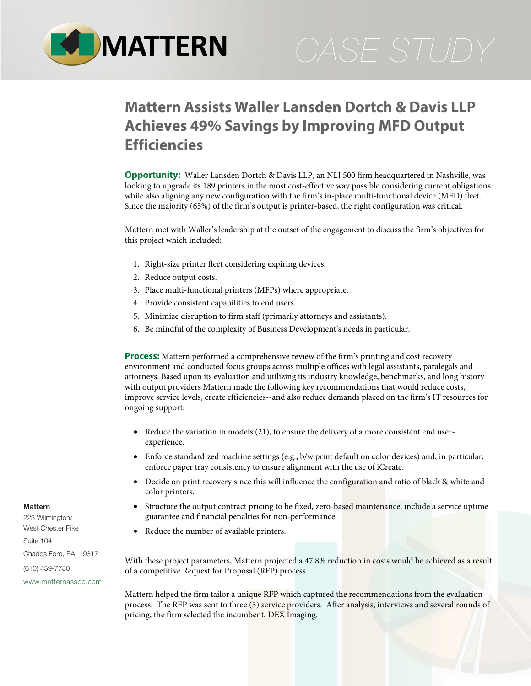

## **Mattern Assists Waller Lansden Dortch & Davis LLP Achieves 49% Savings by Improving MFD Output Efficiencies**

**Opportunity:** Waller Lansden Dortch & Davis LLP, an NLJ 500 firm headquartered in Nashville, was looking to upgrade its 189 printers in the most cost-effective way possible considering current obligations while also aligning any new configuration with the firm's in-place multi-functional device (MFD) fleet. Since the majority (65%) of the firm's output is printer-based, the right configuration was critical.

Mattern met with Waller's leadership at the outset of the engagement to discuss the firm's objectives for this project which included:

- 1. Right-size printer fleet considering expiring devices.
- 2. Reduce output costs.
- 3. Place multi-functional printers (MFPs) where appropriate.
- 4. Provide consistent capabilities to end users.
- 5. Minimize disruption to firm staff (primarily attorneys and assistants).
- 6. Be mindful of the complexity of Business Development's needs in particular.

**Process:** Mattern performed a comprehensive review of the firm's printing and cost recovery environment and conducted focus groups across multiple offices with legal assistants, paralegals and attorneys. Based upon its evaluation and utilizing its industry knowledge, benchmarks, and long history with output providers Mattern made the following key recommendations that would reduce costs, improve service levels, create efficiencies--and also reduce demands placed on the firm's IT resources for ongoing support:

- Reduce the variation in models (21), to ensure the delivery of a more consistent end userexperience.
- Enforce standardized machine settings (e.g., b/w print default on color devices) and, in particular, enforce paper tray consistency to ensure alignment with the use of iCreate.
- Decide on print recovery since this will influence the configuration and ratio of black & white and color printers.
- Structure the output contract pricing to be fixed, zero-based maintenance, include a service uptime guarantee and financial penalties for non-performance.
- Reduce the number of available printers.

With these project parameters, Mattern projected a 47.8% reduction in costs would be achieved as a result of a competitive Request for Proposal (RFP) process.

Mattern helped the firm tailor a unique RFP which captured the recommendations from the evaluation process. The RFP was sent to three (3) service providers. After analysis, interviews and several rounds of pricing, the firm selected the incumbent, DEX Imaging.

## **Mattern**

223 Wilmington/ West Chester Pike Suite 104 Chadds Ford, PA 19317 (610) 459-7750 [www.matternassoc.com](http://www.matternassoc.com)